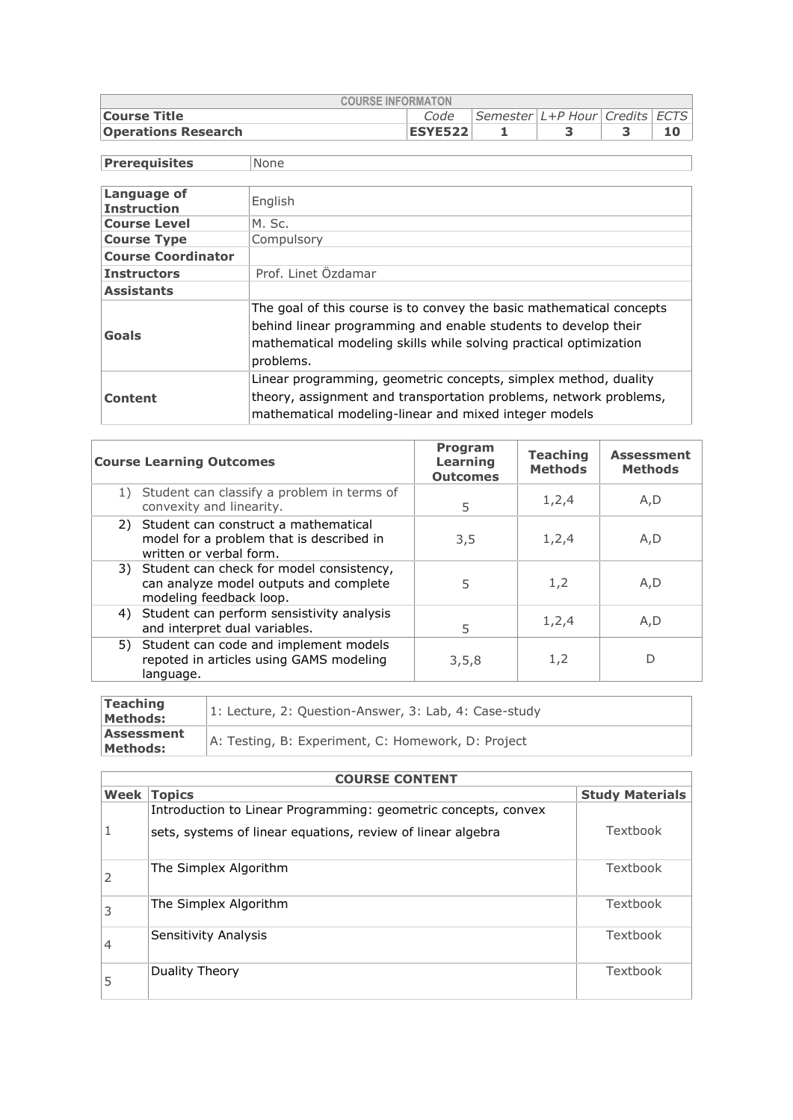| <b>COURSE INFORMATON</b>                                      |                |  |  |  |  |  |  |  |  |  |
|---------------------------------------------------------------|----------------|--|--|--|--|--|--|--|--|--|
| Semester L+P Hour Credits ECTS<br><b>Course Title</b><br>Code |                |  |  |  |  |  |  |  |  |  |
| <b>Operations Research</b>                                    | <b>ESYE522</b> |  |  |  |  |  |  |  |  |  |

| <b>Prerequisites</b>              | None                                                                                                                                                                                                                     |
|-----------------------------------|--------------------------------------------------------------------------------------------------------------------------------------------------------------------------------------------------------------------------|
|                                   |                                                                                                                                                                                                                          |
| Language of<br><b>Instruction</b> | English                                                                                                                                                                                                                  |
| <b>Course Level</b>               | M. Sc.                                                                                                                                                                                                                   |
| <b>Course Type</b>                | Compulsory                                                                                                                                                                                                               |
| <b>Course Coordinator</b>         |                                                                                                                                                                                                                          |
| <b>Instructors</b>                | Prof. Linet Özdamar                                                                                                                                                                                                      |
| <b>Assistants</b>                 |                                                                                                                                                                                                                          |
| Goals                             | The goal of this course is to convey the basic mathematical concepts<br>behind linear programming and enable students to develop their<br>mathematical modeling skills while solving practical optimization<br>problems. |
| Content                           | Linear programming, geometric concepts, simplex method, duality<br>theory, assignment and transportation problems, network problems,<br>mathematical modeling-linear and mixed integer models                            |

| <b>Course Learning Outcomes</b>                                    |                                                                                       | Program<br>Learning<br><b>Outcomes</b> | <b>Teaching</b><br><b>Methods</b> | <b>Assessment</b><br><b>Methods</b> |
|--------------------------------------------------------------------|---------------------------------------------------------------------------------------|----------------------------------------|-----------------------------------|-------------------------------------|
| convexity and linearity.                                           | 1) Student can classify a problem in terms of                                         | 5                                      | 1, 2, 4                           | A,D                                 |
| 2) Student can construct a mathematical<br>written or verbal form. | model for a problem that is described in                                              | 3,5                                    | 1, 2, 4                           | A,D                                 |
| modeling feedback loop.                                            | 3) Student can check for model consistency,<br>can analyze model outputs and complete | 5                                      | 1,2                               | A,D                                 |
| and interpret dual variables.                                      | 4) Student can perform sensistivity analysis                                          | 5                                      | 1,2,4                             | A,D                                 |
| language.                                                          | 5) Student can code and implement models<br>repoted in articles using GAMS modeling   | 3,5,8                                  | 1,2                               | D                                   |

| Teaching<br>Methods:   | 1: Lecture, 2: Question-Answer, 3: Lab, 4: Case-study |
|------------------------|-------------------------------------------------------|
| Assessment<br>Methods: | A: Testing, B: Experiment, C: Homework, D: Project    |

| <b>COURSE CONTENT</b> |                                                                |                        |  |  |  |
|-----------------------|----------------------------------------------------------------|------------------------|--|--|--|
| Week                  | <b>Topics</b>                                                  | <b>Study Materials</b> |  |  |  |
|                       | Introduction to Linear Programming: geometric concepts, convex |                        |  |  |  |
|                       | sets, systems of linear equations, review of linear algebra    | Textbook               |  |  |  |
|                       | The Simplex Algorithm                                          | Textbook               |  |  |  |
| 3                     | The Simplex Algorithm                                          | Textbook               |  |  |  |
| 4                     | Sensitivity Analysis                                           | Textbook               |  |  |  |
|                       | Duality Theory                                                 | Textbook               |  |  |  |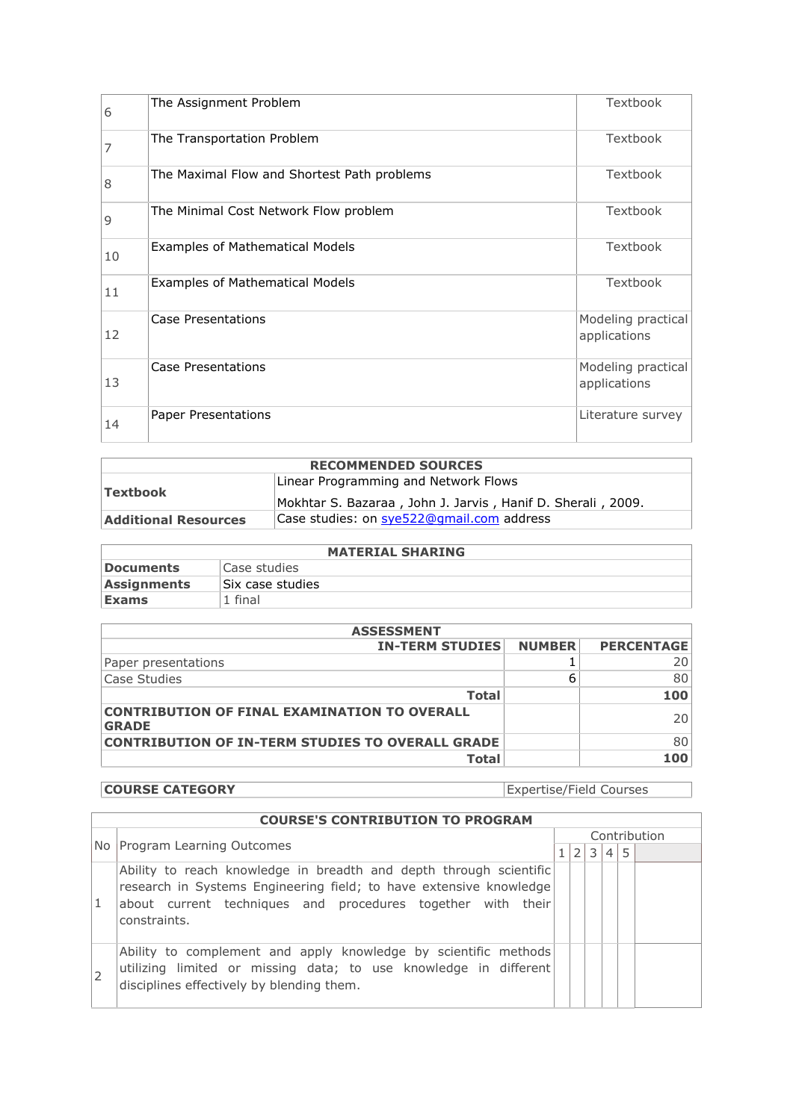| 6  | The Assignment Problem                      | Textbook                           |
|----|---------------------------------------------|------------------------------------|
| 7  | The Transportation Problem                  | Textbook                           |
| 8  | The Maximal Flow and Shortest Path problems | Textbook                           |
| 9  | The Minimal Cost Network Flow problem       | Textbook                           |
| 10 | Examples of Mathematical Models             | Textbook                           |
| 11 | <b>Examples of Mathematical Models</b>      | Textbook                           |
| 12 | Case Presentations                          | Modeling practical<br>applications |
| 13 | Case Presentations                          | Modeling practical<br>applications |
| 14 | Paper Presentations                         | Literature survey                  |

| <b>RECOMMENDED SOURCES</b>  |                                                                                                     |  |  |  |  |
|-----------------------------|-----------------------------------------------------------------------------------------------------|--|--|--|--|
| Textbook                    | Linear Programming and Network Flows<br>Mokhtar S. Bazaraa, John J. Jarvis, Hanif D. Sherali, 2009. |  |  |  |  |
| <b>Additional Resources</b> | Case studies: on sye522@gmail.com address                                                           |  |  |  |  |

| <b>MATERIAL SHARING</b> |                   |  |  |  |  |
|-------------------------|-------------------|--|--|--|--|
| Documents               | Case studies      |  |  |  |  |
| <b>Assignments</b>      | 'Six case studies |  |  |  |  |
| Exams                   | 1 final           |  |  |  |  |

| <b>ASSESSMENT</b>                                                   |               |                   |  |  |  |
|---------------------------------------------------------------------|---------------|-------------------|--|--|--|
| <b>IN-TERM STUDIES</b>                                              | <b>NUMBER</b> | <b>PERCENTAGE</b> |  |  |  |
| Paper presentations                                                 |               | 20                |  |  |  |
| Case Studies                                                        | 6             | 80                |  |  |  |
| <b>Total</b>                                                        |               | 100               |  |  |  |
| <b>CONTRIBUTION OF FINAL EXAMINATION TO OVERALL</b><br><b>GRADE</b> |               | 20                |  |  |  |
| <b>CONTRIBUTION OF IN-TERM STUDIES TO OVERALL GRADE</b>             |               | 80                |  |  |  |
| <b>Total</b>                                                        |               | 100               |  |  |  |

**COURSE CATEGORY** Expertise/Field Courses

|   | <b>COURSE'S CONTRIBUTION TO PROGRAM</b>                                                                                                                                                                                 |  |               |   |                |   |  |  |
|---|-------------------------------------------------------------------------------------------------------------------------------------------------------------------------------------------------------------------------|--|---------------|---|----------------|---|--|--|
|   |                                                                                                                                                                                                                         |  | Contribution  |   |                |   |  |  |
|   | No Program Learning Outcomes                                                                                                                                                                                            |  | $\mathcal{L}$ | 3 | $\overline{4}$ | 5 |  |  |
| 1 | Ability to reach knowledge in breadth and depth through scientific<br>research in Systems Engineering field; to have extensive knowledge<br>about current techniques and procedures together with their<br>constraints. |  |               |   |                |   |  |  |
|   | Ability to complement and apply knowledge by scientific methods<br>utilizing limited or missing data; to use knowledge in different<br>disciplines effectively by blending them.                                        |  |               |   |                |   |  |  |